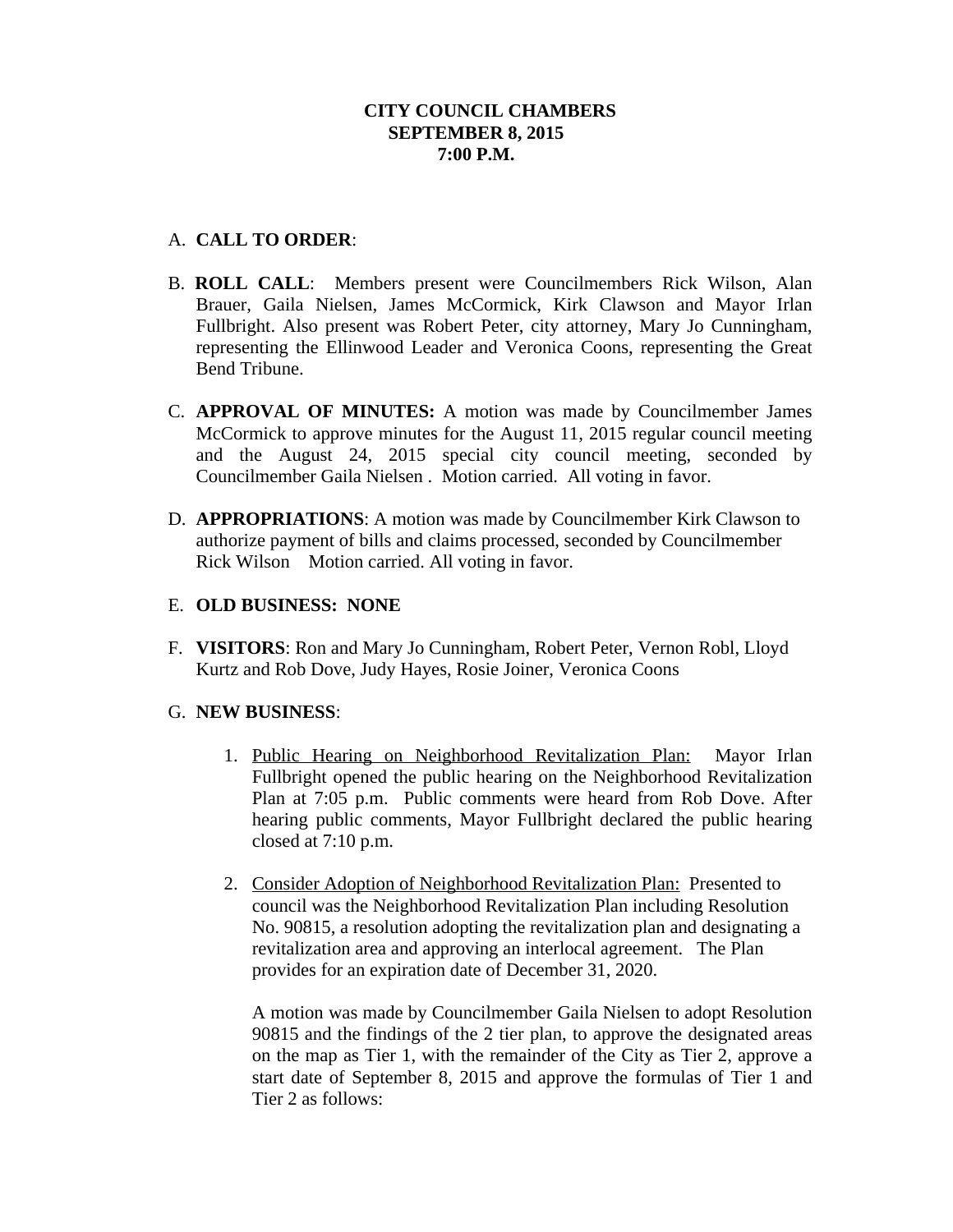# A. **CALL TO ORDER**:

- B. **ROLL CALL**: Members present were Councilmembers Rick Wilson, Alan Brauer, Gaila Nielsen, James McCormick, Kirk Clawson and Mayor Irlan Fullbright. Also present was Robert Peter, city attorney, Mary Jo Cunningham, representing the Ellinwood Leader and Veronica Coons, representing the Great Bend Tribune.
- C. **APPROVAL OF MINUTES:** A motion was made by Councilmember James McCormick to approve minutes for the August 11, 2015 regular council meeting and the August 24, 2015 special city council meeting, seconded by Councilmember Gaila Nielsen . Motion carried. All voting in favor.
- D. **APPROPRIATIONS**: A motion was made by Councilmember Kirk Clawson to authorize payment of bills and claims processed, seconded by Councilmember Rick Wilson Motion carried. All voting in favor.

## E. **OLD BUSINESS: NONE**

F. **VISITORS**: Ron and Mary Jo Cunningham, Robert Peter, Vernon Robl, Lloyd Kurtz and Rob Dove, Judy Hayes, Rosie Joiner, Veronica Coons

## G. **NEW BUSINESS**:

- 1. Public Hearing on Neighborhood Revitalization Plan: Mayor Irlan Fullbright opened the public hearing on the Neighborhood Revitalization Plan at 7:05 p.m. Public comments were heard from Rob Dove. After hearing public comments, Mayor Fullbright declared the public hearing closed at 7:10 p.m.
- 2. Consider Adoption of Neighborhood Revitalization Plan: Presented to council was the Neighborhood Revitalization Plan including Resolution No. 90815, a resolution adopting the revitalization plan and designating a revitalization area and approving an interlocal agreement. The Plan provides for an expiration date of December 31, 2020.

A motion was made by Councilmember Gaila Nielsen to adopt Resolution 90815 and the findings of the 2 tier plan, to approve the designated areas on the map as Tier 1, with the remainder of the City as Tier 2, approve a start date of September 8, 2015 and approve the formulas of Tier 1 and Tier 2 as follows: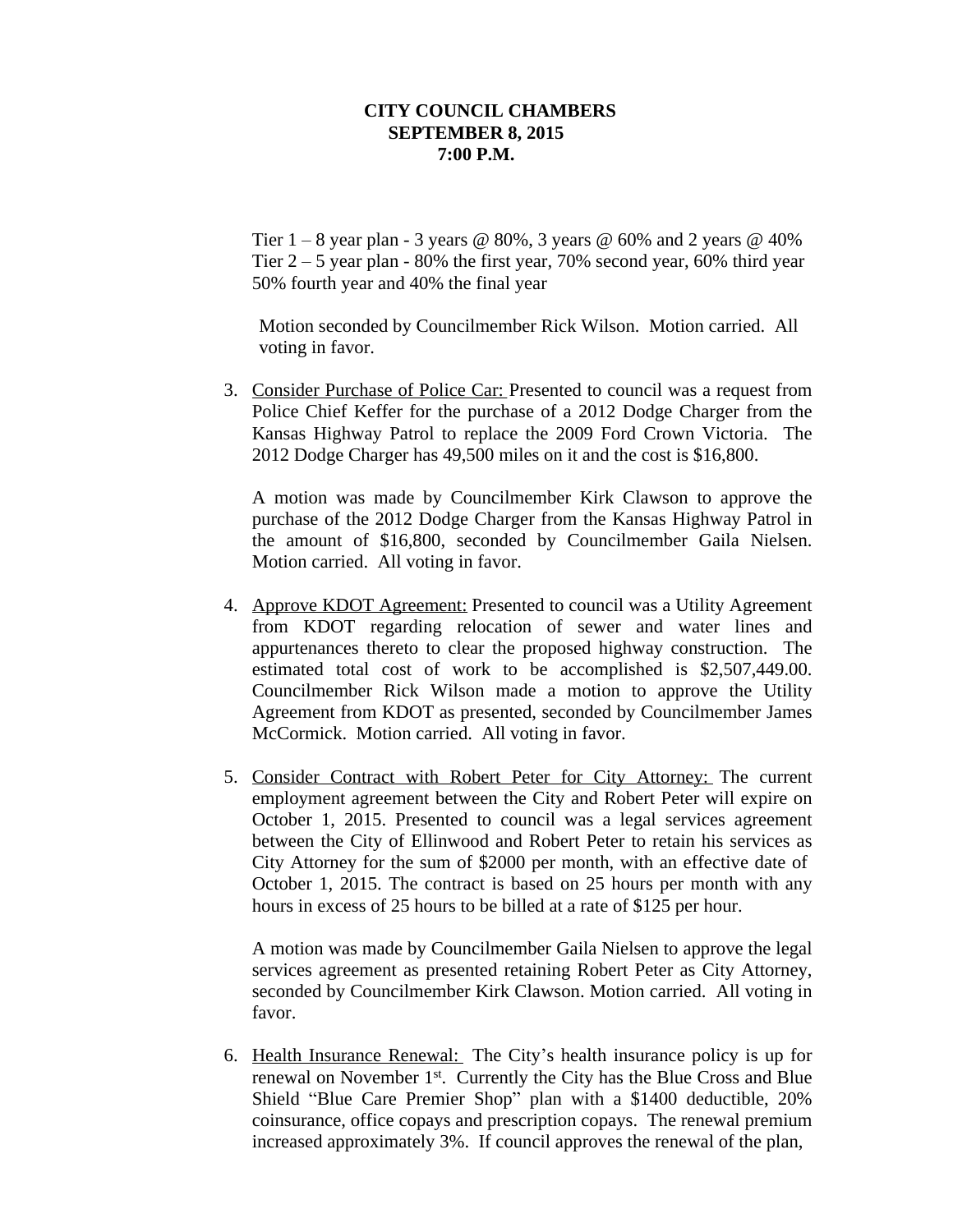Tier  $1 - 8$  year plan - 3 years @ 80%, 3 years @ 60% and 2 years @ 40% Tier  $2 - 5$  year plan - 80% the first year, 70% second year, 60% third year 50% fourth year and 40% the final year

Motion seconded by Councilmember Rick Wilson. Motion carried. All voting in favor.

3. Consider Purchase of Police Car: Presented to council was a request from Police Chief Keffer for the purchase of a 2012 Dodge Charger from the Kansas Highway Patrol to replace the 2009 Ford Crown Victoria. The 2012 Dodge Charger has 49,500 miles on it and the cost is \$16,800.

A motion was made by Councilmember Kirk Clawson to approve the purchase of the 2012 Dodge Charger from the Kansas Highway Patrol in the amount of \$16,800, seconded by Councilmember Gaila Nielsen. Motion carried. All voting in favor.

- 4. Approve KDOT Agreement: Presented to council was a Utility Agreement from KDOT regarding relocation of sewer and water lines and appurtenances thereto to clear the proposed highway construction. The estimated total cost of work to be accomplished is \$2,507,449.00. Councilmember Rick Wilson made a motion to approve the Utility Agreement from KDOT as presented, seconded by Councilmember James McCormick. Motion carried. All voting in favor.
- 5. Consider Contract with Robert Peter for City Attorney: The current employment agreement between the City and Robert Peter will expire on October 1, 2015. Presented to council was a legal services agreement between the City of Ellinwood and Robert Peter to retain his services as City Attorney for the sum of \$2000 per month, with an effective date of October 1, 2015. The contract is based on 25 hours per month with any hours in excess of 25 hours to be billed at a rate of \$125 per hour.

A motion was made by Councilmember Gaila Nielsen to approve the legal services agreement as presented retaining Robert Peter as City Attorney, seconded by Councilmember Kirk Clawson. Motion carried. All voting in favor.

6. Health Insurance Renewal: The City's health insurance policy is up for renewal on November 1<sup>st</sup>. Currently the City has the Blue Cross and Blue Shield "Blue Care Premier Shop" plan with a \$1400 deductible, 20% coinsurance, office copays and prescription copays. The renewal premium increased approximately 3%. If council approves the renewal of the plan,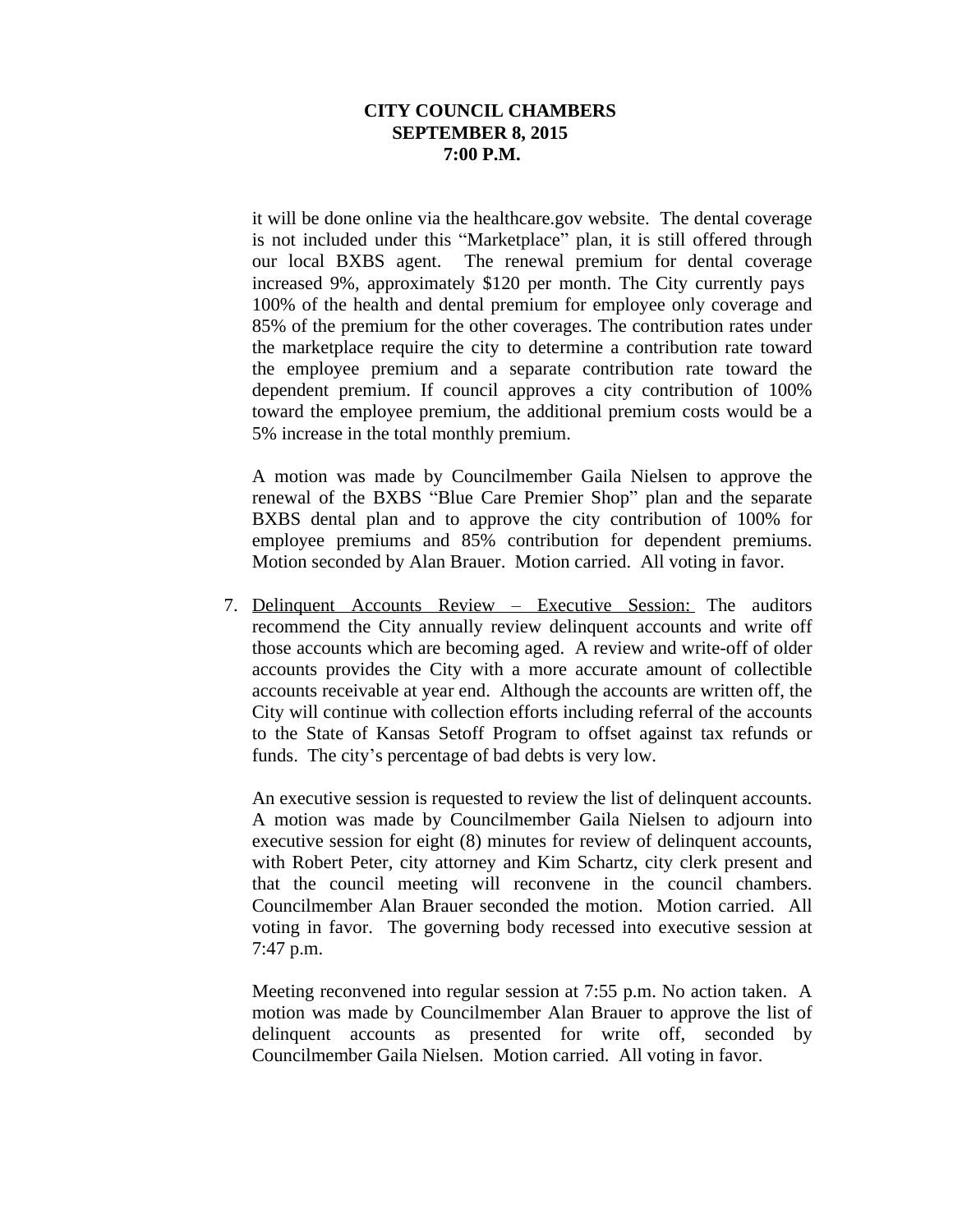it will be done online via the healthcare.gov website. The dental coverage is not included under this "Marketplace" plan, it is still offered through our local BXBS agent. The renewal premium for dental coverage increased 9%, approximately \$120 per month. The City currently pays 100% of the health and dental premium for employee only coverage and 85% of the premium for the other coverages. The contribution rates under the marketplace require the city to determine a contribution rate toward the employee premium and a separate contribution rate toward the dependent premium. If council approves a city contribution of 100% toward the employee premium, the additional premium costs would be a 5% increase in the total monthly premium.

A motion was made by Councilmember Gaila Nielsen to approve the renewal of the BXBS "Blue Care Premier Shop" plan and the separate BXBS dental plan and to approve the city contribution of 100% for employee premiums and 85% contribution for dependent premiums. Motion seconded by Alan Brauer. Motion carried. All voting in favor.

7. Delinquent Accounts Review – Executive Session: The auditors recommend the City annually review delinquent accounts and write off those accounts which are becoming aged. A review and write-off of older accounts provides the City with a more accurate amount of collectible accounts receivable at year end. Although the accounts are written off, the City will continue with collection efforts including referral of the accounts to the State of Kansas Setoff Program to offset against tax refunds or funds. The city's percentage of bad debts is very low.

An executive session is requested to review the list of delinquent accounts. A motion was made by Councilmember Gaila Nielsen to adjourn into executive session for eight (8) minutes for review of delinquent accounts, with Robert Peter, city attorney and Kim Schartz, city clerk present and that the council meeting will reconvene in the council chambers. Councilmember Alan Brauer seconded the motion. Motion carried. All voting in favor. The governing body recessed into executive session at 7:47 p.m.

Meeting reconvened into regular session at 7:55 p.m. No action taken. A motion was made by Councilmember Alan Brauer to approve the list of delinquent accounts as presented for write off, seconded by Councilmember Gaila Nielsen. Motion carried. All voting in favor.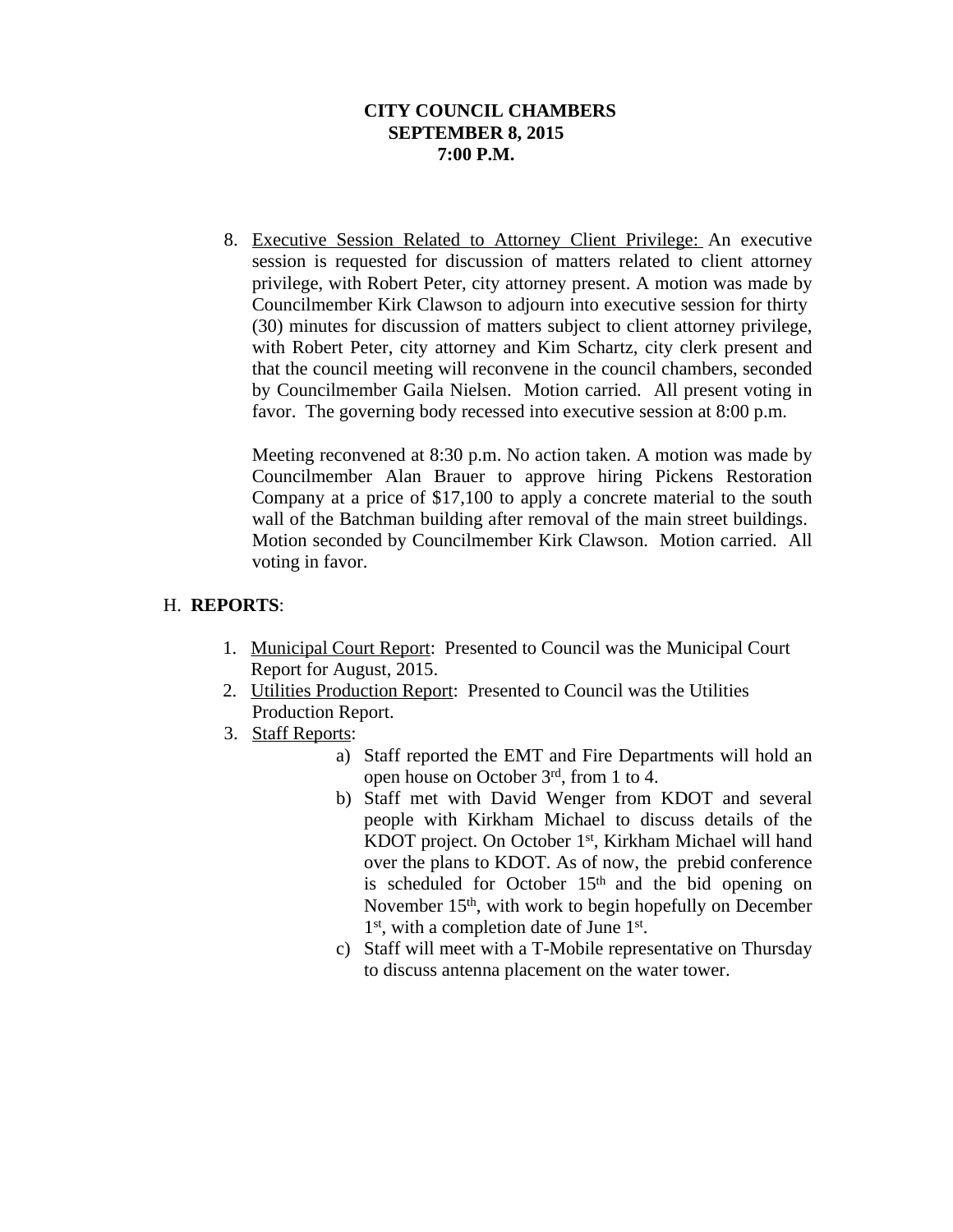8. Executive Session Related to Attorney Client Privilege: An executive session is requested for discussion of matters related to client attorney privilege, with Robert Peter, city attorney present. A motion was made by Councilmember Kirk Clawson to adjourn into executive session for thirty (30) minutes for discussion of matters subject to client attorney privilege, with Robert Peter, city attorney and Kim Schartz, city clerk present and that the council meeting will reconvene in the council chambers, seconded by Councilmember Gaila Nielsen. Motion carried. All present voting in favor. The governing body recessed into executive session at 8:00 p.m.

Meeting reconvened at 8:30 p.m. No action taken. A motion was made by Councilmember Alan Brauer to approve hiring Pickens Restoration Company at a price of \$17,100 to apply a concrete material to the south wall of the Batchman building after removal of the main street buildings. Motion seconded by Councilmember Kirk Clawson. Motion carried. All voting in favor.

# H. **REPORTS**:

- 1. Municipal Court Report: Presented to Council was the Municipal Court Report for August, 2015.
- 2. Utilities Production Report: Presented to Council was the Utilities Production Report.
- 3. Staff Reports:
	- a) Staff reported the EMT and Fire Departments will hold an open house on October 3rd, from 1 to 4.
	- b) Staff met with David Wenger from KDOT and several people with Kirkham Michael to discuss details of the KDOT project. On October 1<sup>st</sup>, Kirkham Michael will hand over the plans to KDOT. As of now, the prebid conference is scheduled for October  $15<sup>th</sup>$  and the bid opening on November 15<sup>th</sup>, with work to begin hopefully on December 1<sup>st</sup>, with a completion date of June 1<sup>st</sup>.
	- c) Staff will meet with a T-Mobile representative on Thursday to discuss antenna placement on the water tower.